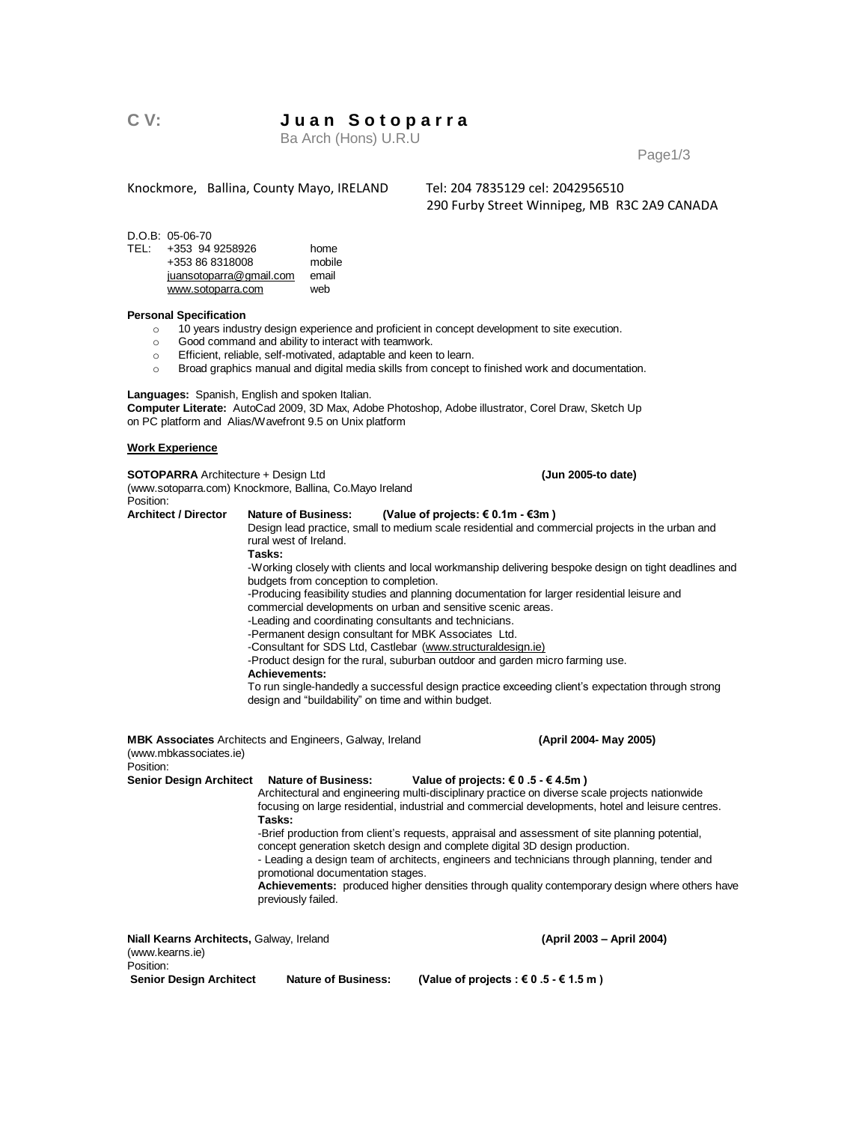# **C V: J u a n S o t o p a r r a**

Ba Arch (Hons) U.R.U

Page1/3

Knockmore, Ballina, County Mayo, IRELAND Tel: 204 7835129 cel: 2042956510

290 Furby Street Winnipeg, MB R3C 2A9 CANADA

 $D.O.B: 05-06-70$ <br>TEL:  $+353.94$ 

| TFI : | +353 94 9258926         | home   |
|-------|-------------------------|--------|
|       | +353 86 8318008         | mobile |
|       | juansotoparra@gmail.com | email  |
|       | www.sotoparra.com       | web    |

#### **Personal Specification**

- o 10 years industry design experience and proficient in concept development to site execution.
- o Good command and ability to interact with teamwork.
- o Efficient, reliable, self-motivated, adaptable and keen to learn.
- o Broad graphics manual and digital media skills from concept to finished work and documentation.

**Languages:** Spanish, English and spoken Italian.

**Computer Literate:** AutoCad 2009, 3D Max, Adobe Photoshop, Adobe illustrator, Corel Draw, Sketch Up on PC platform and Alias/Wavefront 9.5 on Unix platform

#### **Work Experience**

**SOTOPARRA** Architecture + Design Ltd (Jun 2005-to date) (www.sotoparra.com) Knockmore, Ballina, Co.Mayo Ireland Position:<br>Architect / Director Nature of Business: (Value of projects: € 0.1m - €3m ) Design lead practice, small to medium scale residential and commercial projects in the urban and rural west of Ireland. **Tasks:** -Working closely with clients and local workmanship delivering bespoke design on tight deadlines and budgets from conception to completion. -Producing feasibility studies and planning documentation for larger residential leisure and commercial developments on urban and sensitive scenic areas. -Leading and coordinating consultants and technicians. -Permanent design consultant for MBK Associates Ltd. -Consultant for SDS Ltd, Castlebar [\(www.structuraldesign.ie\)](http://www.structuraldesign.ie/) -Product design for the rural, suburban outdoor and garden micro farming use. **Achievements:**  To run single-handedly a successful design practice exceeding client's expectation through strong design and "buildability" on time and within budget. **MBK Associates** Architects and Engineers, Galway, Ireland **(April 2004-May 2005)** (www.mbkassociates.ie) Position: **Senior Design Architect Nature of Business: Value of projects: € 0 .5 - € 4.5m )** Architectural and engineering multi-disciplinary practice on diverse scale projects nationwide focusing on large residential, industrial and commercial developments, hotel and leisure centres. **Tasks:** -Brief production from client's requests, appraisal and assessment of site planning potential, concept generation sketch design and complete digital 3D design production. - Leading a design team of architects, engineers and technicians through planning, tender and promotional documentation stages. **Achievements:** produced higher densities through quality contemporary design where others have previously failed. **Niall Kearns Architects,** Galway, Ireland **(April 2003 – April 2004)** (www.kearns.ie) Position:<br>Senior Design Architect Nature of Business: (Value of projects : € 0 .5 - € 1.5 m)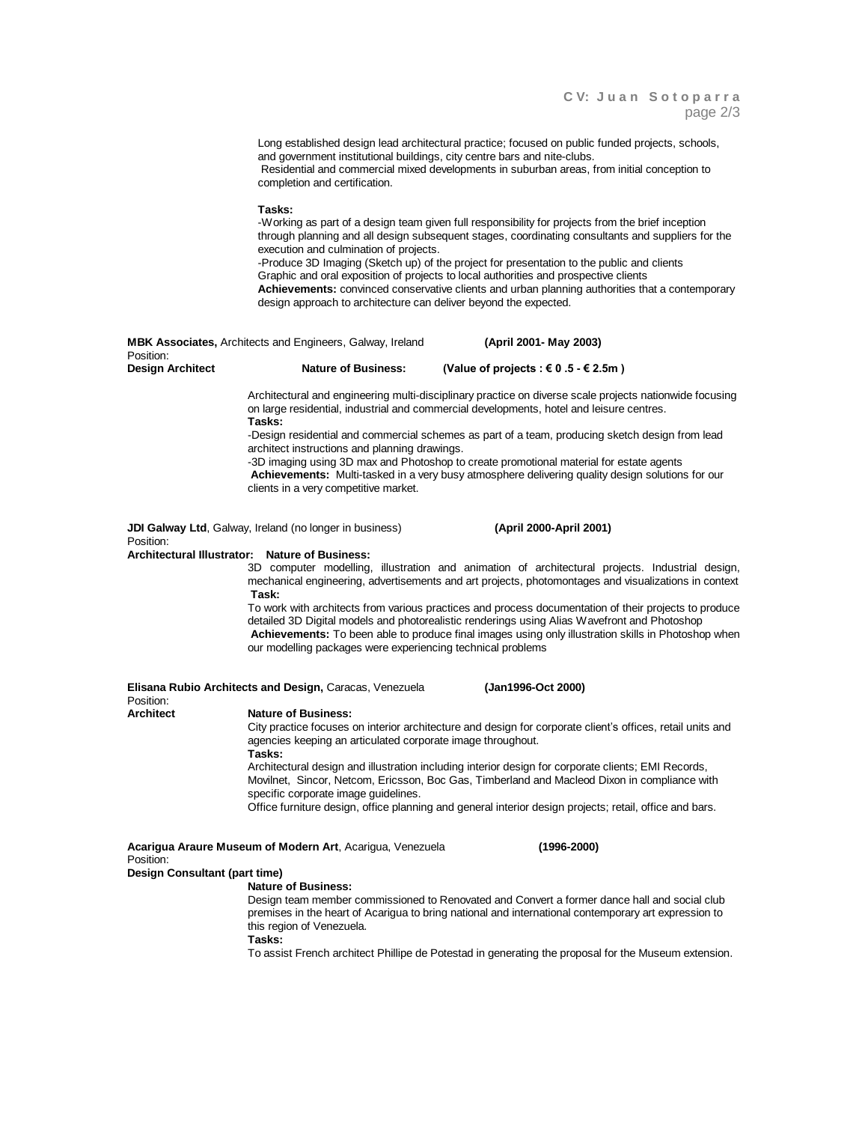|                         |                                                                                                                      | page 2/3                                                                                                                                                                                                                                                                                                                                                                                                                                                                                              |  |
|-------------------------|----------------------------------------------------------------------------------------------------------------------|-------------------------------------------------------------------------------------------------------------------------------------------------------------------------------------------------------------------------------------------------------------------------------------------------------------------------------------------------------------------------------------------------------------------------------------------------------------------------------------------------------|--|
|                         | and government institutional buildings, city centre bars and nite-clubs.<br>completion and certification.            | Long established design lead architectural practice; focused on public funded projects, schools,<br>Residential and commercial mixed developments in suburban areas, from initial conception to                                                                                                                                                                                                                                                                                                       |  |
|                         | Tasks:<br>execution and culmination of projects.<br>design approach to architecture can deliver beyond the expected. | -Working as part of a design team given full responsibility for projects from the brief inception<br>through planning and all design subsequent stages, coordinating consultants and suppliers for the<br>-Produce 3D Imaging (Sketch up) of the project for presentation to the public and clients<br>Graphic and oral exposition of projects to local authorities and prospective clients<br>Achievements: convinced conservative clients and urban planning authorities that a contemporary        |  |
| Position:               | <b>MBK Associates,</b> Architects and Engineers, Galway, Ireland                                                     | (April 2001- May 2003)                                                                                                                                                                                                                                                                                                                                                                                                                                                                                |  |
| <b>Design Architect</b> | <b>Nature of Business:</b>                                                                                           | (Value of projects : € 0.5 - € 2.5m)                                                                                                                                                                                                                                                                                                                                                                                                                                                                  |  |
|                         | Tasks:<br>architect instructions and planning drawings.<br>clients in a very competitive market.                     | Architectural and engineering multi-disciplinary practice on diverse scale projects nationwide focusing<br>on large residential, industrial and commercial developments, hotel and leisure centres.<br>-Design residential and commercial schemes as part of a team, producing sketch design from lead<br>-3D imaging using 3D max and Photoshop to create promotional material for estate agents<br>Achievements: Multi-tasked in a very busy atmosphere delivering quality design solutions for our |  |
| Position:               | <b>JDI Galway Ltd</b> , Galway, Ireland (no longer in business)                                                      | (April 2000-April 2001)                                                                                                                                                                                                                                                                                                                                                                                                                                                                               |  |
|                         | Architectural Illustrator: Nature of Business:                                                                       |                                                                                                                                                                                                                                                                                                                                                                                                                                                                                                       |  |
|                         | Task:                                                                                                                | 3D computer modelling, illustration and animation of architectural projects. Industrial design,<br>mechanical engineering, advertisements and art projects, photomontages and visualizations in context                                                                                                                                                                                                                                                                                               |  |
|                         | our modelling packages were experiencing technical problems                                                          | To work with architects from various practices and process documentation of their projects to produce<br>detailed 3D Digital models and photorealistic renderings using Alias Wavefront and Photoshop<br>Achievements: To been able to produce final images using only illustration skills in Photoshop when                                                                                                                                                                                          |  |
| Position:               | Elisana Rubio Architects and Design, Caracas, Venezuela                                                              | (Jan1996-Oct 2000)                                                                                                                                                                                                                                                                                                                                                                                                                                                                                    |  |
| <b>Architect</b>        | <b>Nature of Business:</b><br>agencies keeping an articulated corporate image throughout.<br>Tasks:                  | City practice focuses on interior architecture and design for corporate client's offices, retail units and                                                                                                                                                                                                                                                                                                                                                                                            |  |

Architectural design and illustration including interior design for corporate clients; EMI Records, Movilnet, Sincor, Netcom, Ericsson, Boc Gas, Timberland and Macleod Dixon in compliance with specific corporate image guidelines.

Office furniture design, office planning and general interior design projects; retail, office and bars.

**Acarigua Araure Museum of Modern Art**, Acarigua, Venezuela **(1996-2000)**

| Acarigua Araure Museum of Modern Art, Acarigua, Venezuela |
|-----------------------------------------------------------|
| Position:                                                 |
| Design Consultant (part time)                             |

# **Nature of Business:**

Design team member commissioned to Renovated and Convert a former dance hall and social club premises in the heart of Acarigua to bring national and international contemporary art expression to this region of Venezuela.

**Tasks:**

To assist French architect Phillipe de Potestad in generating the proposal for the Museum extension.